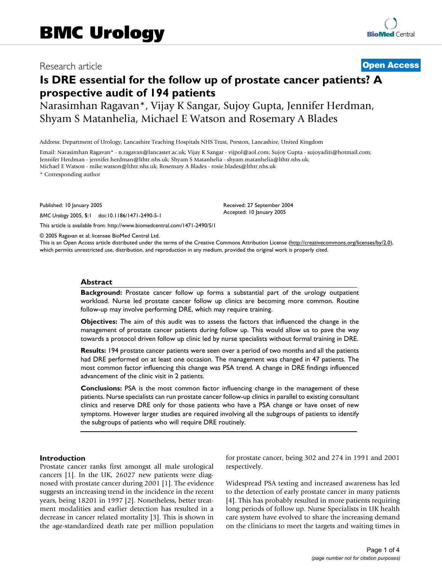# Research article **[Open Access](http://www.biomedcentral.com/info/about/charter/)**

# **Is DRE essential for the follow up of prostate cancer patients? A prospective audit of 194 patients**

Narasimhan Ragavan\*, Vijay K Sangar, Sujoy Gupta, Jennifer Herdman, Shyam S Matanhelia, Michael E Watson and Rosemary A Blades

Address: Department of Urology, Lancashire Teaching Hospitals NHS Trust, Preston, Lancashire, United Kingdom

Email: Narasimhan Ragavan\* - n.ragavan@lancaster.ac.uk; Vijay K Sangar - vijpol@aol.com; Sujoy Gupta - sujoyaditi@hotmail.com; Jennifer Herdman - jennifer.herdman@lthtr.nhs.uk; Shyam S Matanhelia - shyam.matanhelia@lthtr.nhs.uk; Michael E Watson - mike.watson@lthtr.nhs.uk; Rosemary A Blades - rosie.blades@lthtr.nhs.uk

\* Corresponding author

Published: 10 January 2005

*BMC Urology* 2005, **5**:1 doi:10.1186/1471-2490-5-1

[This article is available from: http://www.biomedcentral.com/1471-2490/5/1](http://www.biomedcentral.com/1471-2490/5/1)

© 2005 Ragavan et al; licensee BioMed Central Ltd.

This is an Open Access article distributed under the terms of the Creative Commons Attribution License [\(http://creativecommons.org/licenses/by/2.0\)](http://creativecommons.org/licenses/by/2.0), which permits unrestricted use, distribution, and reproduction in any medium, provided the original work is properly cited.

Received: 27 September 2004 Accepted: 10 January 2005

#### **Abstract**

**Background:** Prostate cancer follow up forms a substantial part of the urology outpatient workload. Nurse led prostate cancer follow up clinics are becoming more common. Routine follow-up may involve performing DRE, which may require training.

**Objectives:** The aim of this audit was to assess the factors that influenced the change in the management of prostate cancer patients during follow up. This would allow us to pave the way towards a protocol driven follow up clinic led by nurse specialists without formal training in DRE.

**Results:** 194 prostate cancer patients were seen over a period of two months and all the patients had DRE performed on at least one occasion. The management was changed in 47 patients. The most common factor influencing this change was PSA trend. A change in DRE findings influenced advancement of the clinic visit in 2 patients.

**Conclusions:** PSA is the most common factor influencing change in the management of these patients. Nurse specialists can run prostate cancer follow-up clinics in parallel to existing consultant clinics and reserve DRE only for those patients who have a PSA change or have onset of new symptoms. However larger studies are required involving all the subgroups of patients to identify the subgroups of patients who will require DRE routinely.

#### **Introduction**

Prostate cancer ranks first amongst all male urological cancers [1]. In the UK, 26027 new patients were diagnosed with prostate cancer during 2001 [1]. The evidence suggests an increasing trend in the incidence in the recent years, being 18201 in 1997 [2]. Nonetheless, better treatment modalities and earlier detection has resulted in a decrease in cancer related mortality [3]. This is shown in the age-standardized death rate per million population for prostate cancer, being 302 and 274 in 1991 and 2001 respectively.

Widespread PSA testing and increased awareness has led to the detection of early prostate cancer in many patients [4]. This has probably resulted in more patients requiring long periods of follow up. Nurse Specialists in UK health care system have evolved to share the increasing demand on the clinicians to meet the targets and waiting times in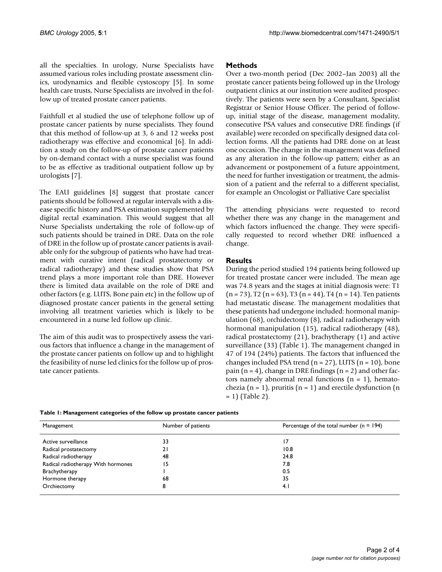all the specialties. In urology, Nurse Specialists have assumed various roles including prostate assessment clinics, urodynamics and flexible cystoscopy [5]. In some health care trusts, Nurse Specialists are involved in the follow up of treated prostate cancer patients.

Faithfull et al studied the use of telephone follow up of prostate cancer patients by nurse specialists. They found that this method of follow-up at 3, 6 and 12 weeks post radiotherapy was effective and economical [6]. In addition a study on the follow-up of prostate cancer patients by on-demand contact with a nurse specialist was found to be as effective as traditional outpatient follow up by urologists [7].

The EAU guidelines [8] suggest that prostate cancer patients should be followed at regular intervals with a disease specific history and PSA estimation supplemented by digital rectal examination. This would suggest that all Nurse Specialists undertaking the role of follow-up of such patients should be trained in DRE. Data on the role of DRE in the follow up of prostate cancer patients is available only for the subgroup of patients who have had treatment with curative intent (radical prostatectomy or radical radiotherapy) and these studies show that PSA trend plays a more important role than DRE. However there is limited data available on the role of DRE and other factors (e.g. LUTS, Bone pain etc) in the follow up of diagnosed prostate cancer patients in the general setting involving all treatment varieties which is likely to be encountered in a nurse led follow up clinic.

The aim of this audit was to prospectively assess the various factors that influence a change in the management of the prostate cancer patients on follow up and to highlight the feasibility of nurse led clinics for the follow up of prostate cancer patients.

### **Methods**

Over a two-month period (Dec 2002–Jan 2003) all the prostate cancer patients being followed up in the Urology outpatient clinics at our institution were audited prospectively. The patients were seen by a Consultant, Specialist Registrar or Senior House Officer. The period of followup, initial stage of the disease, management modality, consecutive PSA values and consecutive DRE findings (if available) were recorded on specifically designed data collection forms. All the patients had DRE done on at least one occasion. The change in the management was defined as any alteration in the follow-up pattern; either as an advancement or postponement of a future appointment, the need for further investigation or treatment, the admission of a patient and the referral to a different specialist, for example an Oncologist or Palliative Care specialist

The attending physicians were requested to record whether there was any change in the management and which factors influenced the change. They were specifically requested to record whether DRE influenced a change.

### **Results**

During the period studied 194 patients being followed up for treated prostate cancer were included. The mean age was 74.8 years and the stages at initial diagnosis were: T1  $(n = 73)$ , T2  $(n = 63)$ , T3  $(n = 44)$ , T4  $(n = 14)$ . Ten patients had metastatic disease. The management modalities that these patients had undergone included: hormonal manipulation (68), orchidectomy (8), radical radiotherapy with hormonal manipulation (15), radical radiotherapy (48), radical prostatectomy (21), brachytherapy (1) and active surveillance (33) (Table 1). The management changed in 47 of 194 (24%) patients. The factors that influenced the changes included PSA trend  $(n = 27)$ , LUTS  $(n = 10)$ , bone pain  $(n = 4)$ , change in DRE findings  $(n = 2)$  and other factors namely abnormal renal functions  $(n = 1)$ , hematochezia (n = 1), pruritis (n = 1) and erectile dysfunction (n  $= 1$ ) (Table [2\)](#page-2-0).

| Table 1: Management categories of the follow up prostate cancer patients |  |  |  |  |  |  |  |  |  |
|--------------------------------------------------------------------------|--|--|--|--|--|--|--|--|--|
|--------------------------------------------------------------------------|--|--|--|--|--|--|--|--|--|

| Management                         | Number of patients | Percentage of the total number ( $n = 194$ ) |
|------------------------------------|--------------------|----------------------------------------------|
| Active surveillance                | 33                 | 17                                           |
| Radical prostatectomy              | 21                 | 10.8                                         |
| Radical radiotherapy               | 48                 | 24.8                                         |
| Radical radiotherapy With hormones | 15                 | 7.8                                          |
| Brachytherapy                      |                    | 0.5                                          |
| Hormone therapy                    | 68                 | 35                                           |
| Orchiectomy                        | 8                  | 4.1                                          |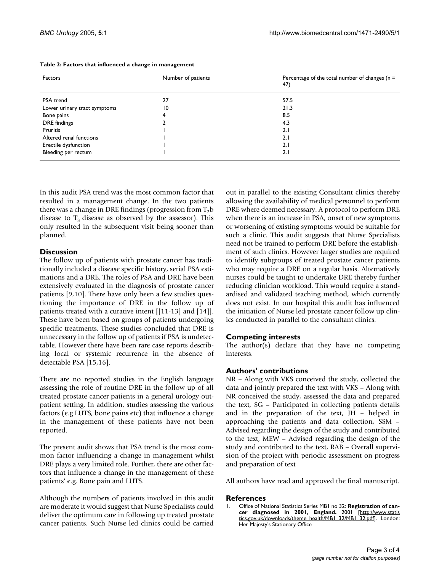| Factors                      | Number of patients | Percentage of the total number of changes ( $n =$<br>47) |
|------------------------------|--------------------|----------------------------------------------------------|
| PSA trend                    | 27                 | 57.5                                                     |
| Lower urinary tract symptoms | 10                 | 21.3                                                     |
| Bone pains                   |                    | 8.5                                                      |
| DRE findings                 |                    | 4.3                                                      |
| Pruritis                     |                    | 2.1                                                      |
| Altered renal functions      |                    | 2.1                                                      |
| Erectile dysfunction         |                    | 2.1                                                      |
| Bleeding per rectum          |                    | 2.1                                                      |

#### <span id="page-2-0"></span>**Table 2: Factors that influenced a change in management**

In this audit PSA trend was the most common factor that resulted in a management change. In the two patients there was a change in DRE findings (progression from  $T_2b$ disease to  $T_3$  disease as observed by the assessor). This only resulted in the subsequent visit being sooner than planned.

## **Discussion**

The follow up of patients with prostate cancer has traditionally included a disease specific history, serial PSA estimations and a DRE. The roles of PSA and DRE have been extensively evaluated in the diagnosis of prostate cancer patients [9,10]. There have only been a few studies questioning the importance of DRE in the follow up of patients treated with a curative intent [[11-13] and [14]]. These have been based on groups of patients undergoing specific treatments. These studies concluded that DRE is unnecessary in the follow up of patients if PSA is undetectable. However there have been rare case reports describing local or systemic recurrence in the absence of detectable PSA [15,16].

There are no reported studies in the English language assessing the role of routine DRE in the follow up of all treated prostate cancer patients in a general urology outpatient setting. In addition, studies assessing the various factors (e.g LUTS, bone pains etc) that influence a change in the management of these patients have not been reported.

The present audit shows that PSA trend is the most common factor influencing a change in management whilst DRE plays a very limited role. Further, there are other factors that influence a change in the management of these patients' e.g. Bone pain and LUTS.

Although the numbers of patients involved in this audit are moderate it would suggest that Nurse Specialists could deliver the optimum care in following up treated prostate cancer patients. Such Nurse led clinics could be carried out in parallel to the existing Consultant clinics thereby allowing the availability of medical personnel to perform DRE where deemed necessary. A protocol to perform DRE when there is an increase in PSA, onset of new symptoms or worsening of existing symptoms would be suitable for such a clinic. This audit suggests that Nurse Specialists need not be trained to perform DRE before the establishment of such clinics. However larger studies are required to identify subgroups of treated prostate cancer patients who may require a DRE on a regular basis. Alternatively nurses could be taught to undertake DRE thereby further reducing clinician workload. This would require a standardised and validated teaching method, which currently does not exist. In our hospital this audit has influenced the initiation of Nurse led prostate cancer follow up clinics conducted in parallel to the consultant clinics.

# **Competing interests**

The author(s) declare that they have no competing interests.

# **Authors' contributions**

NR – Along with VKS conceived the study, collected the data and jointly prepared the text with VKS – Along with NR conceived the study, assessed the data and prepared the text, SG – Participated in collecting patients details and in the preparation of the text, JH – helped in approaching the patients and data collection, SSM – Advised regarding the design of the study and contributed to the text, MEW – Advised regarding the design of the study and contributed to the text, RAB – Overall supervision of the project with periodic assessment on progress and preparation of text

All authors have read and approved the final manuscript.

#### **References**

1. Office of National Statistics Series MB1 no 32: **Registration of cancer diagnosed in 2001, England.** 2001 [[http://www.statis](http://www.statistics.gov.uk/downloads/theme_health/MB1_32/MB1_32.pdf) [tics.gov.uk/downloads/theme\\_health/MB1\\_32/MB1\\_32.pdf](http://www.statistics.gov.uk/downloads/theme_health/MB1_32/MB1_32.pdf)]. London: Her Majesty's Stationary Office